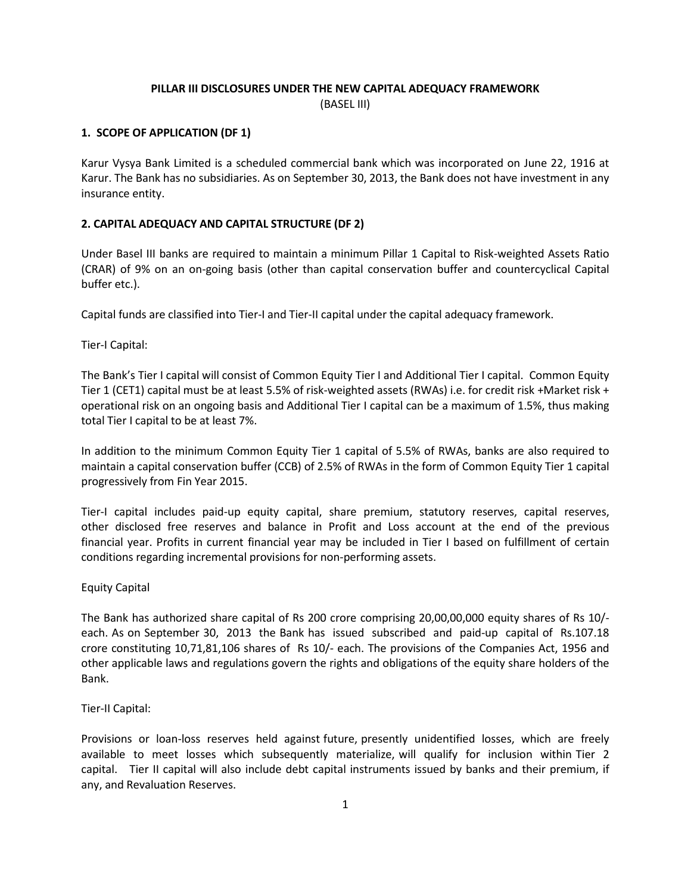# PILLAR III DISCLOSURES UNDER THE NEW CAPITAL ADEQUACY FRAMEWORK (BASEL III)

### 1. SCOPE OF APPLICATION (DF 1)

Karur Vysya Bank Limited is a scheduled commercial bank which was incorporated on June 22, 1916 at Karur. The Bank has no subsidiaries. As on September 30, 2013, the Bank does not have investment in any insurance entity.

### 2. CAPITAL ADEQUACY AND CAPITAL STRUCTURE (DF 2)

Under Basel III banks are required to maintain a minimum Pillar 1 Capital to Risk-weighted Assets Ratio (CRAR) of 9% on an on-going basis (other than capital conservation buffer and countercyclical Capital buffer etc.).

Capital funds are classified into Tier-I and Tier-II capital under the capital adequacy framework.

Tier-I Capital:

The Bank's Tier I capital will consist of Common Equity Tier I and Additional Tier I capital. Common Equity Tier 1 (CET1) capital must be at least 5.5% of risk-weighted assets (RWAs) i.e. for credit risk +Market risk + operational risk on an ongoing basis and Additional Tier I capital can be a maximum of 1.5%, thus making total Tier I capital to be at least 7%.

In addition to the minimum Common Equity Tier 1 capital of 5.5% of RWAs, banks are also required to maintain a capital conservation buffer (CCB) of 2.5% of RWAs in the form of Common Equity Tier 1 capital progressively from Fin Year 2015.

Tier-I capital includes paid-up equity capital, share premium, statutory reserves, capital reserves, other disclosed free reserves and balance in Profit and Loss account at the end of the previous financial year. Profits in current financial year may be included in Tier I based on fulfillment of certain conditions regarding incremental provisions for non-performing assets.

#### Equity Capital

The Bank has authorized share capital of Rs 200 crore comprising 20,00,00,000 equity shares of Rs 10/ each. As on September 30, 2013 the Bank has issued subscribed and paid-up capital of Rs.107.18 crore constituting 10,71,81,106 shares of Rs 10/- each. The provisions of the Companies Act, 1956 and other applicable laws and regulations govern the rights and obligations of the equity share holders of the Bank.

#### Tier-II Capital:

Provisions or loan-loss reserves held against future, presently unidentified losses, which are freely available to meet losses which subsequently materialize, will qualify for inclusion within Tier 2 capital. Tier II capital will also include debt capital instruments issued by banks and their premium, if any, and Revaluation Reserves.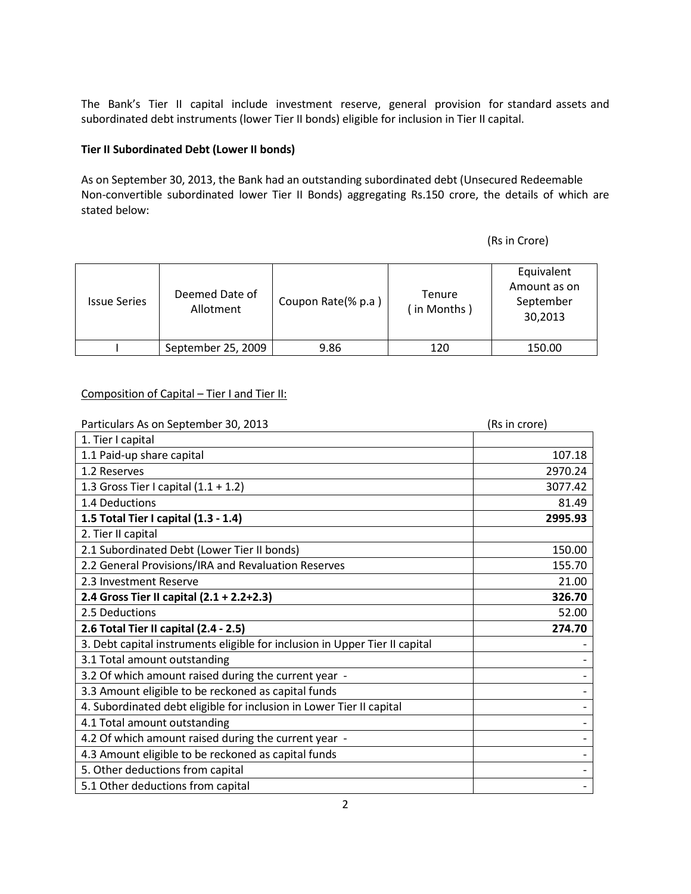The Bank's Tier II capital include investment reserve, general provision for standard assets and subordinated debt instruments (lower Tier II bonds) eligible for inclusion in Tier II capital.

### Tier II Subordinated Debt (Lower II bonds)

As on September 30, 2013, the Bank had an outstanding subordinated debt (Unsecured Redeemable Non-convertible subordinated lower Tier II Bonds) aggregating Rs.150 crore, the details of which are stated below:

(Rs in Crore)

| <b>Issue Series</b> | Deemed Date of<br>Allotment | Coupon Rate(% p.a) | <b>Tenure</b><br>(in Months) | Equivalent<br>Amount as on<br>September<br>30,2013 |
|---------------------|-----------------------------|--------------------|------------------------------|----------------------------------------------------|
|                     | September 25, 2009          | 9.86               | 120                          | 150.00                                             |

# Composition of Capital – Tier I and Tier II:

| Particulars As on September 30, 2013                                        | (Rs in crore) |
|-----------------------------------------------------------------------------|---------------|
| 1. Tier I capital                                                           |               |
| 1.1 Paid-up share capital                                                   | 107.18        |
| 1.2 Reserves                                                                | 2970.24       |
| 1.3 Gross Tier I capital $(1.1 + 1.2)$                                      | 3077.42       |
| 1.4 Deductions                                                              | 81.49         |
| 1.5 Total Tier I capital (1.3 - 1.4)                                        | 2995.93       |
| 2. Tier II capital                                                          |               |
| 2.1 Subordinated Debt (Lower Tier II bonds)                                 | 150.00        |
| 2.2 General Provisions/IRA and Revaluation Reserves                         | 155.70        |
| 2.3 Investment Reserve                                                      | 21.00         |
| 2.4 Gross Tier II capital (2.1 + 2.2+2.3)                                   | 326.70        |
| 2.5 Deductions                                                              | 52.00         |
| 2.6 Total Tier II capital (2.4 - 2.5)                                       | 274.70        |
| 3. Debt capital instruments eligible for inclusion in Upper Tier II capital |               |
| 3.1 Total amount outstanding                                                |               |
| 3.2 Of which amount raised during the current year -                        |               |
| 3.3 Amount eligible to be reckoned as capital funds                         |               |
| 4. Subordinated debt eligible for inclusion in Lower Tier II capital        |               |
| 4.1 Total amount outstanding                                                |               |
| 4.2 Of which amount raised during the current year -                        |               |
| 4.3 Amount eligible to be reckoned as capital funds                         |               |
| 5. Other deductions from capital                                            |               |
| 5.1 Other deductions from capital                                           |               |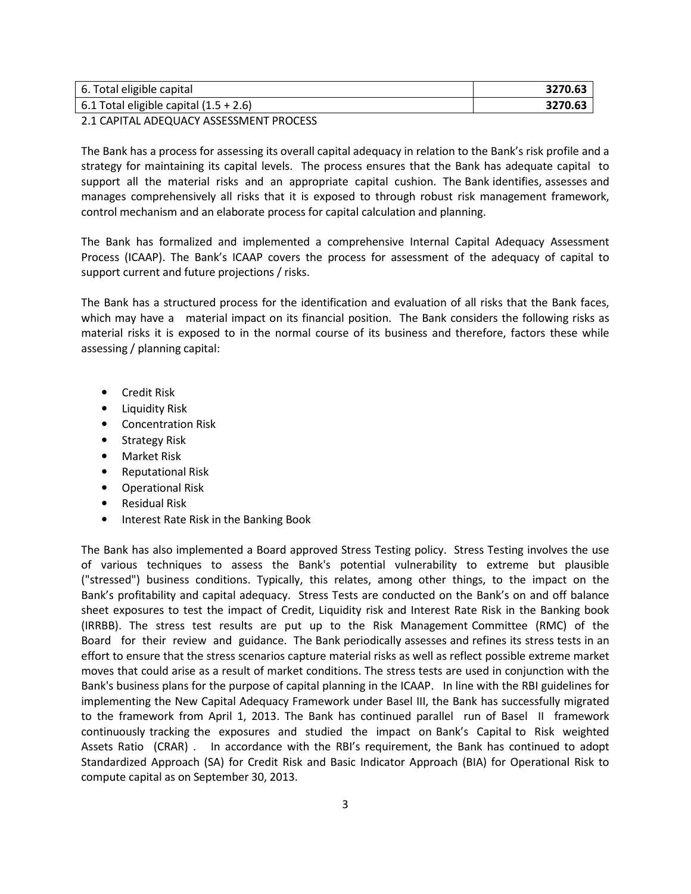| 6. Total eligible capital                | 3270.63 |
|------------------------------------------|---------|
| 6.1 Total eligible capital $(1.5 + 2.6)$ | 3270.63 |

2.1 CAPITAL ADEQUACY ASSESSMENT PROCESS

The Bank has a process for assessing its overall capital adequacy in relation to the Bank's risk profile and a strategy for maintaining its capital levels. The process ensures that the Bank has adequate capital to support all the material risks and an appropriate capital cushion. The Bank identifies, assesses and manages comprehensively all risks that it is exposed to through robust risk management framework, control mechanism and an elaborate process for capital calculation and planning.

The Bank has formalized and implemented a comprehensive Internal Capital Adequacy Assessment Process (ICAAP). The Bank's ICAAP covers the process for assessment of the adequacy of capital to support current and future projections / risks.

The Bank has a structured process for the identification and evaluation of all risks that the Bank faces, which may have a material impact on its financial position. The Bank considers the following risks as material risks it is exposed to in the normal course of its business and therefore, factors these while assessing / planning capital:

- Credit Risk
- Liquidity Risk
- Concentration Risk
- Strategy Risk
- Market Risk
- Reputational Risk
- Operational Risk
- Residual Risk
- Interest Rate Risk in the Banking Book

The Bank has also implemented a Board approved Stress Testing policy. Stress Testing involves the use of various techniques to assess the Bank's potential vulnerability to extreme but plausible ("stressed") business conditions. Typically, this relates, among other things, to the impact on the Bank's profitability and capital adequacy. Stress Tests are conducted on the Bank's on and off balance sheet exposures to test the impact of Credit, Liquidity risk and Interest Rate Risk in the Banking book (IRRBB). The stress test results are put up to the Risk Management Committee (RMC) of the Board for their review and guidance. The Bank periodically assesses and refines its stress tests in an effort to ensure that the stress scenarios capture material risks as well as reflect possible extreme market moves that could arise as a result of market conditions. The stress tests are used in conjunction with the Bank's business plans for the purpose of capital planning in the ICAAP. In line with the RBI guidelines for implementing the New Capital Adequacy Framework under Basel III, the Bank has successfully migrated to the framework from April 1, 2013. The Bank has continued parallel run of Basel II framework continuously tracking the exposures and studied the impact on Bank's Capital to Risk weighted Assets Ratio (CRAR) . In accordance with the RBI's requirement, the Bank has continued to adopt Standardized Approach (SA) for Credit Risk and Basic Indicator Approach (BIA) for Operational Risk to compute capital as on September 30, 2013.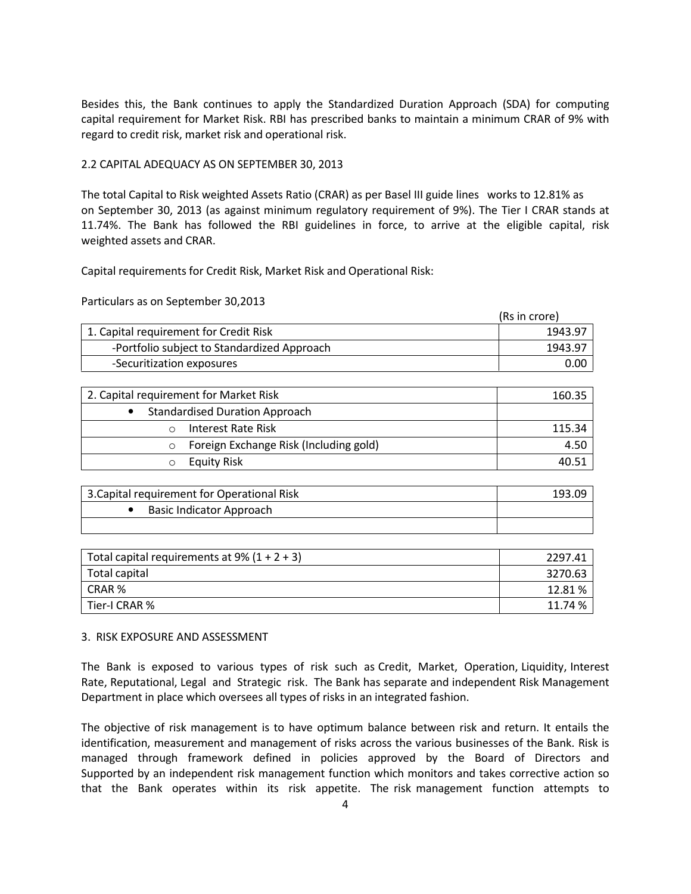Besides this, the Bank continues to apply the Standardized Duration Approach (SDA) for computing capital requirement for Market Risk. RBI has prescribed banks to maintain a minimum CRAR of 9% with regard to credit risk, market risk and operational risk.

# 2.2 CAPITAL ADEQUACY AS ON SEPTEMBER 30, 2013

The total Capital to Risk weighted Assets Ratio (CRAR) as per Basel III guide lines works to 12.81% as on September 30, 2013 (as against minimum regulatory requirement of 9%). The Tier I CRAR stands at 11.74%. The Bank has followed the RBI guidelines in force, to arrive at the eligible capital, risk weighted assets and CRAR.

Capital requirements for Credit Risk, Market Risk and Operational Risk:

Particulars as on September 30,2013

|                                             | (Rs in crore) |
|---------------------------------------------|---------------|
| 1. Capital requirement for Credit Risk      | 1943.97       |
| -Portfolio subject to Standardized Approach | 1943.97       |
| -Securitization exposures                   | ი.იი          |

| 2. Capital requirement for Market Risk | 160.35 |
|----------------------------------------|--------|
| <b>Standardised Duration Approach</b>  |        |
| Interest Rate Risk                     | 115.34 |
| Foreign Exchange Risk (Including gold) | 4.50   |
| <b>Equity Risk</b>                     | 40.51  |

| 3. Capital requirement for Operational Risk | 193.09 |
|---------------------------------------------|--------|
| Basic Indicator Approach                    |        |
|                                             |        |

| Total capital requirements at 9% $(1 + 2 + 3)$ | 2297.41 |
|------------------------------------------------|---------|
| Total capital                                  | 3270.63 |
| CRAR %                                         | 12.81%  |
| Tier-I CRAR %                                  | 11.74 % |

#### 3. RISK EXPOSURE AND ASSESSMENT

The Bank is exposed to various types of risk such as Credit, Market, Operation, Liquidity, Interest Rate, Reputational, Legal and Strategic risk. The Bank has separate and independent Risk Management Department in place which oversees all types of risks in an integrated fashion.

The objective of risk management is to have optimum balance between risk and return. It entails the identification, measurement and management of risks across the various businesses of the Bank. Risk is managed through framework defined in policies approved by the Board of Directors and Supported by an independent risk management function which monitors and takes corrective action so that the Bank operates within its risk appetite. The risk management function attempts to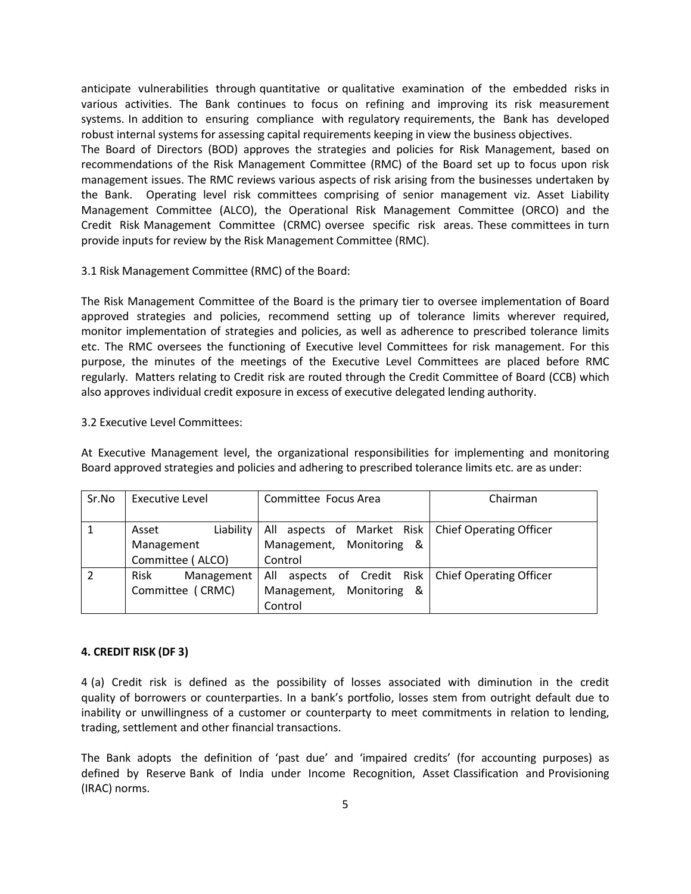anticipate vulnerabilities through quantitative or qualitative examination of the embedded risks in various activities. The Bank continues to focus on refining and improving its risk measurement systems. In addition to ensuring compliance with regulatory requirements, the Bank has developed robust internal systems for assessing capital requirements keeping in view the business objectives.

The Board of Directors (BOD) approves the strategies and policies for Risk Management, based on recommendations of the Risk Management Committee (RMC) of the Board set up to focus upon risk management issues. The RMC reviews various aspects of risk arising from the businesses undertaken by the Bank. Operating level risk committees comprising of senior management viz. Asset Liability Management Committee (ALCO), the Operational Risk Management Committee (ORCO) and the Credit Risk Management Committee (CRMC) oversee specific risk areas. These committees in turn provide inputs for review by the Risk Management Committee (RMC).

### 3.1 Risk Management Committee (RMC) of the Board:

The Risk Management Committee of the Board is the primary tier to oversee implementation of Board approved strategies and policies, recommend setting up of tolerance limits wherever required, monitor implementation of strategies and policies, as well as adherence to prescribed tolerance limits etc. The RMC oversees the functioning of Executive level Committees for risk management. For this purpose, the minutes of the meetings of the Executive Level Committees are placed before RMC regularly. Matters relating to Credit risk are routed through the Credit Committee of Board (CCB) which also approves individual credit exposure in excess of executive delegated lending authority.

### 3.2 Executive Level Committees:

At Executive Management level, the organizational responsibilities for implementing and monitoring Board approved strategies and policies and adhering to prescribed tolerance limits etc. are as under:

| Sr.No | Executive Level    | Committee Focus Area                                 | Chairman |
|-------|--------------------|------------------------------------------------------|----------|
|       |                    |                                                      |          |
|       | Liability<br>Asset | All aspects of Market Risk   Chief Operating Officer |          |
|       | Management         | Management, Monitoring<br>- &                        |          |
|       | Committee (ALCO)   | Control                                              |          |
|       | Risk<br>Management | All aspects of Credit Risk   Chief Operating Officer |          |
|       | Committee (CRMC)   | Management, Monitoring<br>- &                        |          |
|       |                    | Control                                              |          |

# 4. CREDIT RISK (DF 3)

4 (a) Credit risk is defined as the possibility of losses associated with diminution in the credit quality of borrowers or counterparties. In a bank's portfolio, losses stem from outright default due to inability or unwillingness of a customer or counterparty to meet commitments in relation to lending, trading, settlement and other financial transactions.

The Bank adopts the definition of 'past due' and 'impaired credits' (for accounting purposes) as defined by Reserve Bank of India under Income Recognition, Asset Classification and Provisioning (IRAC) norms.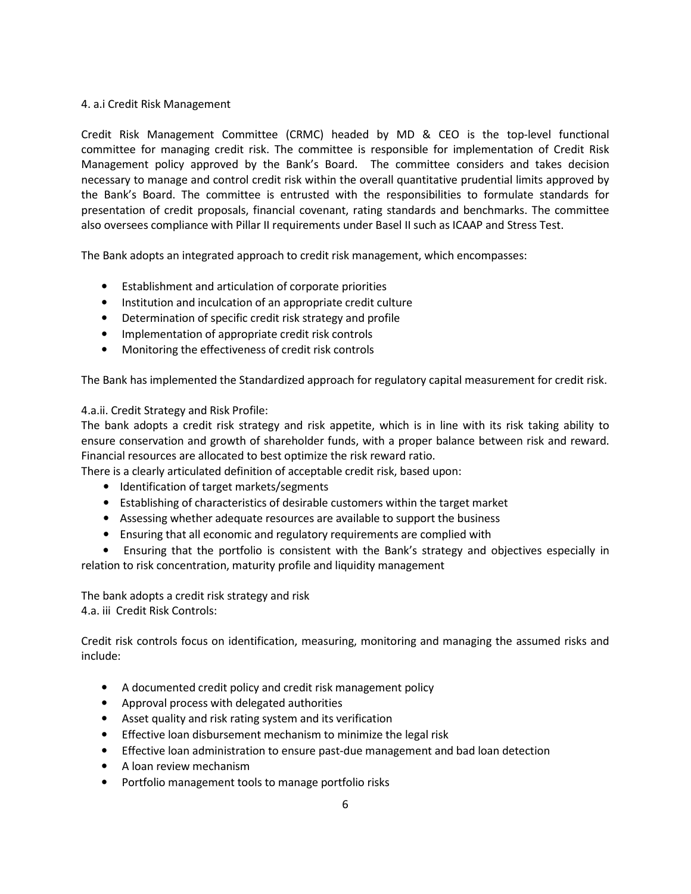## 4. a.i Credit Risk Management

Credit Risk Management Committee (CRMC) headed by MD & CEO is the top-level functional committee for managing credit risk. The committee is responsible for implementation of Credit Risk Management policy approved by the Bank's Board. The committee considers and takes decision necessary to manage and control credit risk within the overall quantitative prudential limits approved by the Bank's Board. The committee is entrusted with the responsibilities to formulate standards for presentation of credit proposals, financial covenant, rating standards and benchmarks. The committee also oversees compliance with Pillar II requirements under Basel II such as ICAAP and Stress Test.

The Bank adopts an integrated approach to credit risk management, which encompasses:

- Establishment and articulation of corporate priorities
- Institution and inculcation of an appropriate credit culture
- Determination of specific credit risk strategy and profile
- Implementation of appropriate credit risk controls
- Monitoring the effectiveness of credit risk controls

The Bank has implemented the Standardized approach for regulatory capital measurement for credit risk.

### 4.a.ii. Credit Strategy and Risk Profile:

The bank adopts a credit risk strategy and risk appetite, which is in line with its risk taking ability to ensure conservation and growth of shareholder funds, with a proper balance between risk and reward. Financial resources are allocated to best optimize the risk reward ratio.

There is a clearly articulated definition of acceptable credit risk, based upon:

- Identification of target markets/segments
- Establishing of characteristics of desirable customers within the target market
- Assessing whether adequate resources are available to support the business
- Ensuring that all economic and regulatory requirements are complied with

 • Ensuring that the portfolio is consistent with the Bank's strategy and objectives especially in relation to risk concentration, maturity profile and liquidity management

The bank adopts a credit risk strategy and risk 4.a. iii Credit Risk Controls:

Credit risk controls focus on identification, measuring, monitoring and managing the assumed risks and include:

- A documented credit policy and credit risk management policy
- Approval process with delegated authorities
- Asset quality and risk rating system and its verification
- Effective loan disbursement mechanism to minimize the legal risk
- Effective loan administration to ensure past-due management and bad loan detection
- A loan review mechanism
- Portfolio management tools to manage portfolio risks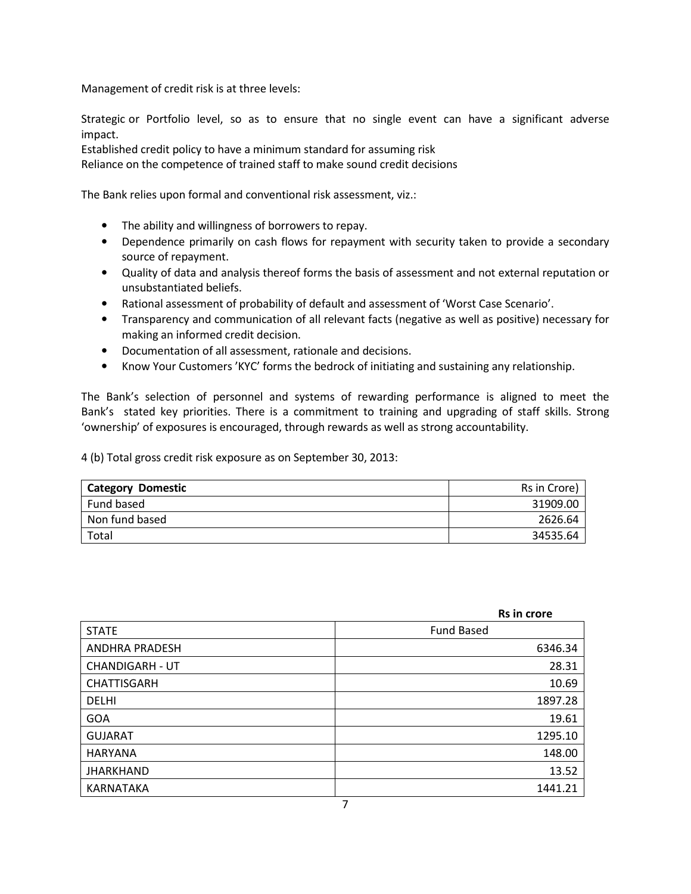Management of credit risk is at three levels:

Strategic or Portfolio level, so as to ensure that no single event can have a significant adverse impact.

Established credit policy to have a minimum standard for assuming risk

Reliance on the competence of trained staff to make sound credit decisions

The Bank relies upon formal and conventional risk assessment, viz.:

- The ability and willingness of borrowers to repay.
- Dependence primarily on cash flows for repayment with security taken to provide a secondary source of repayment.
- Quality of data and analysis thereof forms the basis of assessment and not external reputation or unsubstantiated beliefs.
- Rational assessment of probability of default and assessment of 'Worst Case Scenario'.
- Transparency and communication of all relevant facts (negative as well as positive) necessary for making an informed credit decision.
- Documentation of all assessment, rationale and decisions.
- Know Your Customers 'KYC' forms the bedrock of initiating and sustaining any relationship.

The Bank's selection of personnel and systems of rewarding performance is aligned to meet the Bank's stated key priorities. There is a commitment to training and upgrading of staff skills. Strong 'ownership' of exposures is encouraged, through rewards as well as strong accountability.

4 (b) Total gross credit risk exposure as on September 30, 2013:

| <b>Category Domestic</b> | Rs in Crore) |
|--------------------------|--------------|
| Fund based               | 31909.00     |
| Non fund based           | 2626.64      |
| Total                    | 34535.64     |

|                        | Rs in crore       |
|------------------------|-------------------|
| <b>STATE</b>           | <b>Fund Based</b> |
| <b>ANDHRA PRADESH</b>  | 6346.34           |
| <b>CHANDIGARH - UT</b> | 28.31             |
| <b>CHATTISGARH</b>     | 10.69             |
| <b>DELHI</b>           | 1897.28           |
| <b>GOA</b>             | 19.61             |
| <b>GUJARAT</b>         | 1295.10           |
| <b>HARYANA</b>         | 148.00            |
| <b>JHARKHAND</b>       | 13.52             |
| KARNATAKA              | 1441.21           |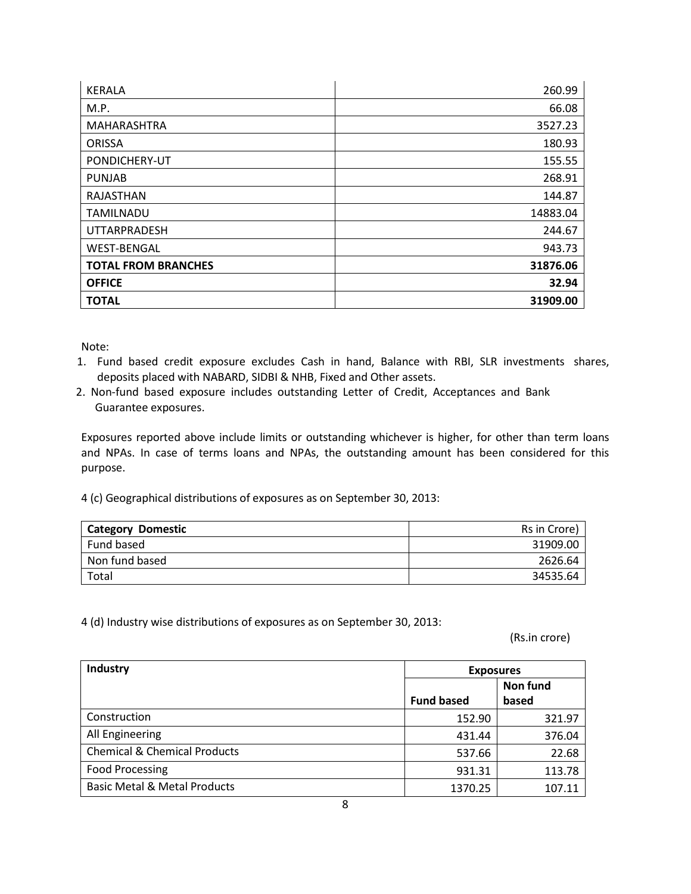| <b>KERALA</b>              | 260.99   |
|----------------------------|----------|
| M.P.                       | 66.08    |
| MAHARASHTRA                | 3527.23  |
| <b>ORISSA</b>              | 180.93   |
| PONDICHERY-UT              | 155.55   |
| <b>PUNJAB</b>              | 268.91   |
| RAJASTHAN                  | 144.87   |
| <b>TAMILNADU</b>           | 14883.04 |
| <b>UTTARPRADESH</b>        | 244.67   |
| <b>WEST-BENGAL</b>         | 943.73   |
| <b>TOTAL FROM BRANCHES</b> | 31876.06 |
| <b>OFFICE</b>              | 32.94    |
| <b>TOTAL</b>               | 31909.00 |

Note:

- 1. Fund based credit exposure excludes Cash in hand, Balance with RBI, SLR investments shares, deposits placed with NABARD, SIDBI & NHB, Fixed and Other assets.
- 2. Non-fund based exposure includes outstanding Letter of Credit, Acceptances and Bank Guarantee exposures.

Exposures reported above include limits or outstanding whichever is higher, for other than term loans and NPAs. In case of terms loans and NPAs, the outstanding amount has been considered for this purpose.

4 (c) Geographical distributions of exposures as on September 30, 2013:

| <b>Category Domestic</b> | Rs in Crore) |
|--------------------------|--------------|
| Fund based               | 31909.00     |
| Non fund based           | 2626.64      |
| Total                    | 34535.64     |

4 (d) Industry wise distributions of exposures as on September 30, 2013:

(Rs.in crore)

| <b>Industry</b>                         | <b>Exposures</b>  |          |  |
|-----------------------------------------|-------------------|----------|--|
|                                         |                   | Non fund |  |
|                                         | <b>Fund based</b> | based    |  |
| Construction                            | 152.90            | 321.97   |  |
| All Engineering                         | 431.44            | 376.04   |  |
| <b>Chemical &amp; Chemical Products</b> | 537.66            | 22.68    |  |
| <b>Food Processing</b>                  | 931.31            | 113.78   |  |
| <b>Basic Metal &amp; Metal Products</b> | 1370.25           | 107.11   |  |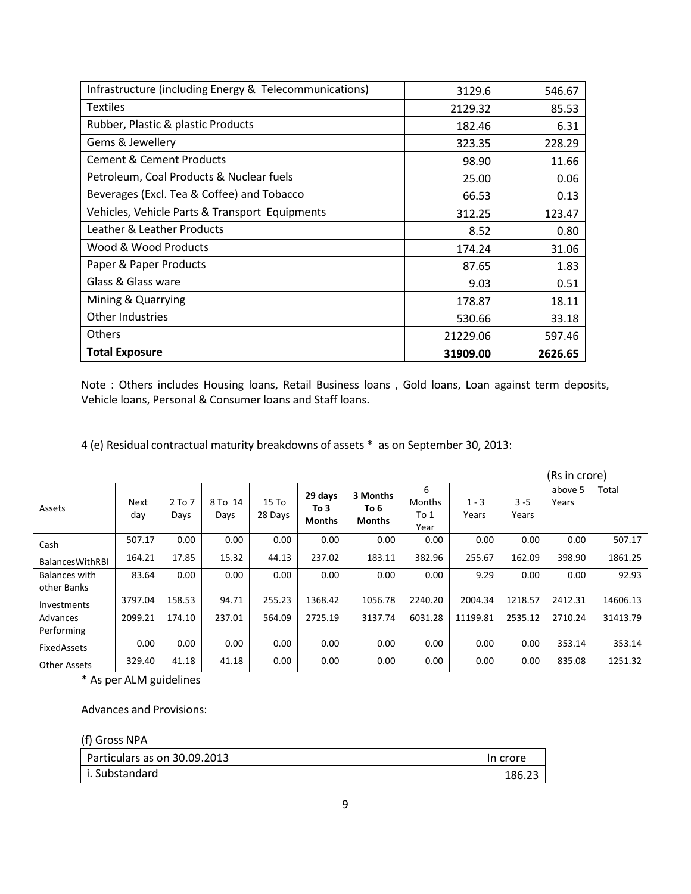| Infrastructure (including Energy & Telecommunications) | 3129.6   | 546.67  |
|--------------------------------------------------------|----------|---------|
| <b>Textiles</b>                                        | 2129.32  | 85.53   |
| Rubber, Plastic & plastic Products                     | 182.46   | 6.31    |
| Gems & Jewellery                                       | 323.35   | 228.29  |
| <b>Cement &amp; Cement Products</b>                    | 98.90    | 11.66   |
| Petroleum, Coal Products & Nuclear fuels               | 25.00    | 0.06    |
| Beverages (Excl. Tea & Coffee) and Tobacco             | 66.53    | 0.13    |
| Vehicles, Vehicle Parts & Transport Equipments         | 312.25   | 123.47  |
| Leather & Leather Products                             | 8.52     | 0.80    |
| Wood & Wood Products                                   | 174.24   | 31.06   |
| Paper & Paper Products                                 | 87.65    | 1.83    |
| Glass & Glass ware                                     | 9.03     | 0.51    |
| Mining & Quarrying                                     | 178.87   | 18.11   |
| Other Industries                                       | 530.66   | 33.18   |
| Others                                                 | 21229.06 | 597.46  |
| <b>Total Exposure</b>                                  | 31909.00 | 2626.65 |

Note : Others includes Housing loans, Retail Business loans , Gold loans, Loan against term deposits, Vehicle loans, Personal & Consumer loans and Staff loans.

4 (e) Residual contractual maturity breakdowns of assets \* as on September 30, 2013:

|                                     |             |                    |                 |                             |                                  |                                   |                                    |                  |                  | (Rs in crore)    |          |
|-------------------------------------|-------------|--------------------|-----------------|-----------------------------|----------------------------------|-----------------------------------|------------------------------------|------------------|------------------|------------------|----------|
| Assets                              | Next<br>day | $2$ To $7$<br>Days | 8 To 14<br>Days | 15T <sub>0</sub><br>28 Days | 29 days<br>To 3<br><b>Months</b> | 3 Months<br>To 6<br><b>Months</b> | 6<br><b>Months</b><br>To 1<br>Year | $1 - 3$<br>Years | $3 - 5$<br>Years | above 5<br>Years | Total    |
| Cash                                | 507.17      | 0.00               | 0.00            | 0.00                        | 0.00                             | 0.00                              | 0.00                               | 0.00             | 0.00             | 0.00             | 507.17   |
| <b>BalancesWithRBI</b>              | 164.21      | 17.85              | 15.32           | 44.13                       | 237.02                           | 183.11                            | 382.96                             | 255.67           | 162.09           | 398.90           | 1861.25  |
| <b>Balances with</b><br>other Banks | 83.64       | 0.00               | 0.00            | 0.00                        | 0.00                             | 0.00                              | 0.00                               | 9.29             | 0.00             | 0.00             | 92.93    |
| Investments                         | 3797.04     | 158.53             | 94.71           | 255.23                      | 1368.42                          | 1056.78                           | 2240.20                            | 2004.34          | 1218.57          | 2412.31          | 14606.13 |
| Advances<br>Performing              | 2099.21     | 174.10             | 237.01          | 564.09                      | 2725.19                          | 3137.74                           | 6031.28                            | 11199.81         | 2535.12          | 2710.24          | 31413.79 |
| FixedAssets                         | 0.00        | 0.00               | 0.00            | 0.00                        | 0.00                             | 0.00                              | 0.00                               | 0.00             | 0.00             | 353.14           | 353.14   |
| <b>Other Assets</b>                 | 329.40      | 41.18              | 41.18           | 0.00                        | 0.00                             | 0.00                              | 0.00                               | 0.00             | 0.00             | 835.08           | 1251.32  |

\* As per ALM guidelines

Advances and Provisions:

| (f) Gross NPA                |          |
|------------------------------|----------|
| Particulars as on 30.09.2013 | In crore |
| l i. Substandard             | 186.23   |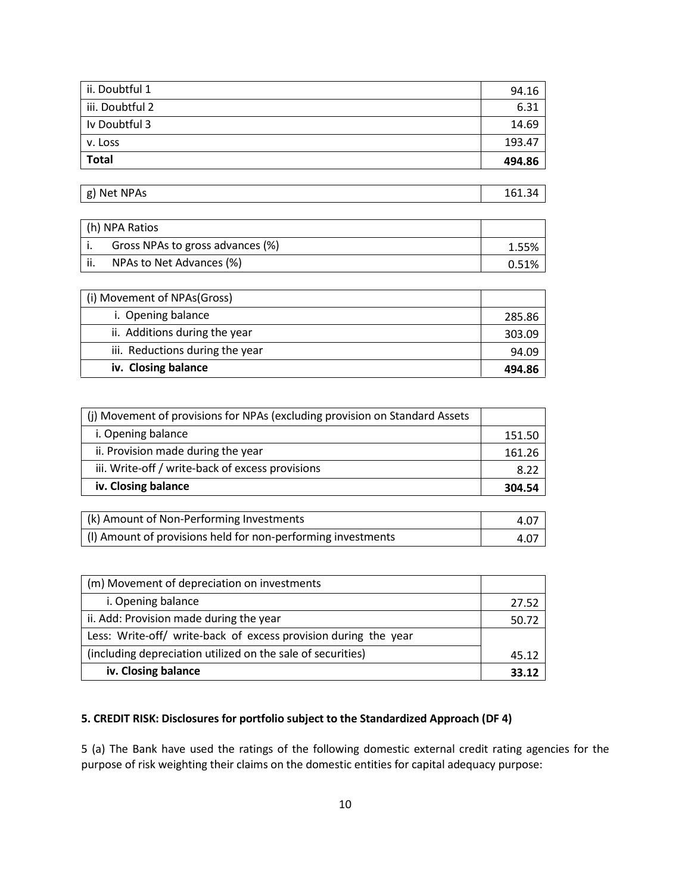| <b>Total</b>    | 494.86 |
|-----------------|--------|
| v. Loss         | 193.47 |
| Iv Doubtful 3   | 14.69  |
| iii. Doubtful 2 | 6.31   |
| ii. Doubtful 1  | 94.16  |

g) Net NPAs  $\vert$  161.34

| h) NPA Ratios                    |       |
|----------------------------------|-------|
| Gross NPAs to gross advances (%) | 1.55% |
| NPAs to Net Advances (%)         | 0.51% |

| (i) Movement of NPAs(Gross)     |        |
|---------------------------------|--------|
| i. Opening balance              | 285.86 |
| ii. Additions during the year   | 303.09 |
| iii. Reductions during the year | 94.09  |
| iv. Closing balance             | 494.86 |

| (j) Movement of provisions for NPAs (excluding provision on Standard Assets |        |
|-----------------------------------------------------------------------------|--------|
| i. Opening balance                                                          | 151.50 |
| ii. Provision made during the year                                          | 161.26 |
| iii. Write-off / write-back of excess provisions                            | 8.22   |
| iv. Closing balance                                                         | 304.54 |

| (k) Amount of Non-Performing Investments                     | 4.0. |
|--------------------------------------------------------------|------|
| (I) Amount of provisions held for non-performing investments | 4.07 |

| (m) Movement of depreciation on investments                     |       |
|-----------------------------------------------------------------|-------|
| i. Opening balance                                              | 27.52 |
| ii. Add: Provision made during the year                         | 50.72 |
| Less: Write-off/ write-back of excess provision during the year |       |
| (including depreciation utilized on the sale of securities)     | 45.12 |
| iv. Closing balance                                             | 33.12 |

# 5. CREDIT RISK: Disclosures for portfolio subject to the Standardized Approach (DF 4)

5 (a) The Bank have used the ratings of the following domestic external credit rating agencies for the purpose of risk weighting their claims on the domestic entities for capital adequacy purpose: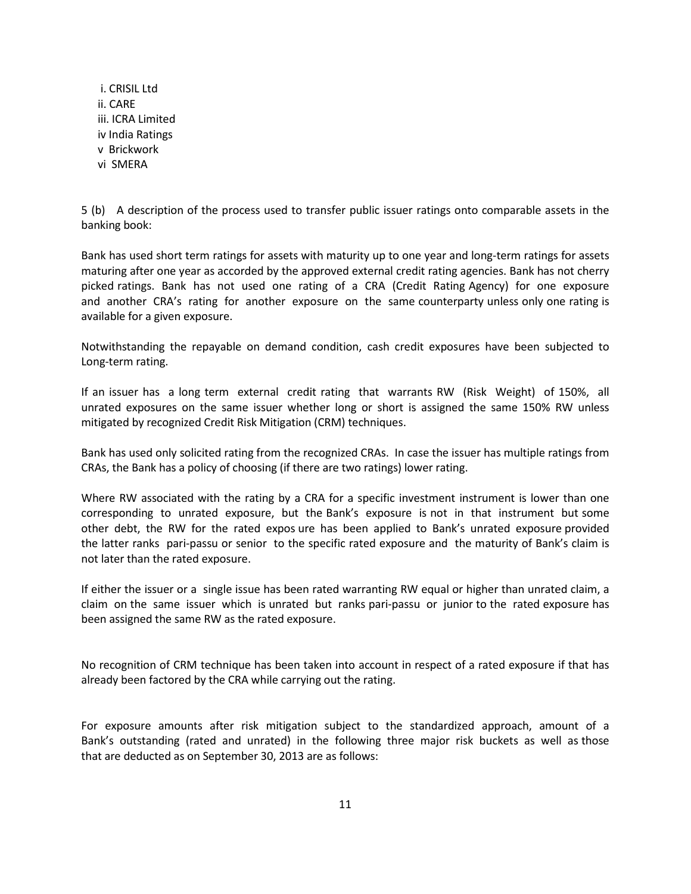i. CRISIL Ltd ii. CARE iii. ICRA Limited iv India Ratings v Brickwork vi SMERA

5 (b) A description of the process used to transfer public issuer ratings onto comparable assets in the banking book:

Bank has used short term ratings for assets with maturity up to one year and long-term ratings for assets maturing after one year as accorded by the approved external credit rating agencies. Bank has not cherry picked ratings. Bank has not used one rating of a CRA (Credit Rating Agency) for one exposure and another CRA's rating for another exposure on the same counterparty unless only one rating is available for a given exposure.

Notwithstanding the repayable on demand condition, cash credit exposures have been subjected to Long-term rating.

If an issuer has a long term external credit rating that warrants RW (Risk Weight) of 150%, all unrated exposures on the same issuer whether long or short is assigned the same 150% RW unless mitigated by recognized Credit Risk Mitigation (CRM) techniques.

Bank has used only solicited rating from the recognized CRAs. In case the issuer has multiple ratings from CRAs, the Bank has a policy of choosing (if there are two ratings) lower rating.

Where RW associated with the rating by a CRA for a specific investment instrument is lower than one corresponding to unrated exposure, but the Bank's exposure is not in that instrument but some other debt, the RW for the rated expos ure has been applied to Bank's unrated exposure provided the latter ranks pari-passu or senior to the specific rated exposure and the maturity of Bank's claim is not later than the rated exposure.

If either the issuer or a single issue has been rated warranting RW equal or higher than unrated claim, a claim on the same issuer which is unrated but ranks pari-passu or junior to the rated exposure has been assigned the same RW as the rated exposure.

No recognition of CRM technique has been taken into account in respect of a rated exposure if that has already been factored by the CRA while carrying out the rating.

For exposure amounts after risk mitigation subject to the standardized approach, amount of a Bank's outstanding (rated and unrated) in the following three major risk buckets as well as those that are deducted as on September 30, 2013 are as follows: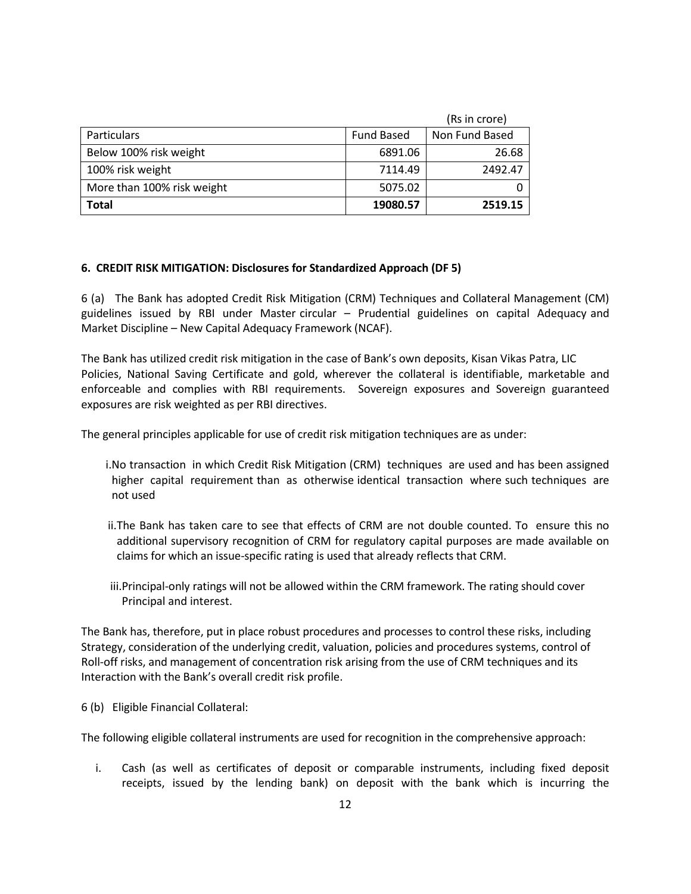|                            |                   | (Rs in crore)  |
|----------------------------|-------------------|----------------|
| Particulars                | <b>Fund Based</b> | Non Fund Based |
| Below 100% risk weight     | 6891.06           | 26.68          |
| 100% risk weight           | 7114.49           | 2492.47        |
| More than 100% risk weight | 5075.02           |                |
| <b>Total</b>               | 19080.57          | 2519.15        |

### 6. CREDIT RISK MITIGATION: Disclosures for Standardized Approach (DF 5)

6 (a) The Bank has adopted Credit Risk Mitigation (CRM) Techniques and Collateral Management (CM) guidelines issued by RBI under Master circular – Prudential guidelines on capital Adequacy and Market Discipline – New Capital Adequacy Framework (NCAF).

The Bank has utilized credit risk mitigation in the case of Bank's own deposits, Kisan Vikas Patra, LIC Policies, National Saving Certificate and gold, wherever the collateral is identifiable, marketable and enforceable and complies with RBI requirements. Sovereign exposures and Sovereign guaranteed exposures are risk weighted as per RBI directives.

The general principles applicable for use of credit risk mitigation techniques are as under:

- i.No transaction in which Credit Risk Mitigation (CRM) techniques are used and has been assigned higher capital requirement than as otherwise identical transaction where such techniques are not used
- ii.The Bank has taken care to see that effects of CRM are not double counted. To ensure this no additional supervisory recognition of CRM for regulatory capital purposes are made available on claims for which an issue-specific rating is used that already reflects that CRM.
- iii.Principal-only ratings will not be allowed within the CRM framework. The rating should cover Principal and interest.

The Bank has, therefore, put in place robust procedures and processes to control these risks, including Strategy, consideration of the underlying credit, valuation, policies and procedures systems, control of Roll-off risks, and management of concentration risk arising from the use of CRM techniques and its Interaction with the Bank's overall credit risk profile.

6 (b) Eligible Financial Collateral:

The following eligible collateral instruments are used for recognition in the comprehensive approach:

i. Cash (as well as certificates of deposit or comparable instruments, including fixed deposit receipts, issued by the lending bank) on deposit with the bank which is incurring the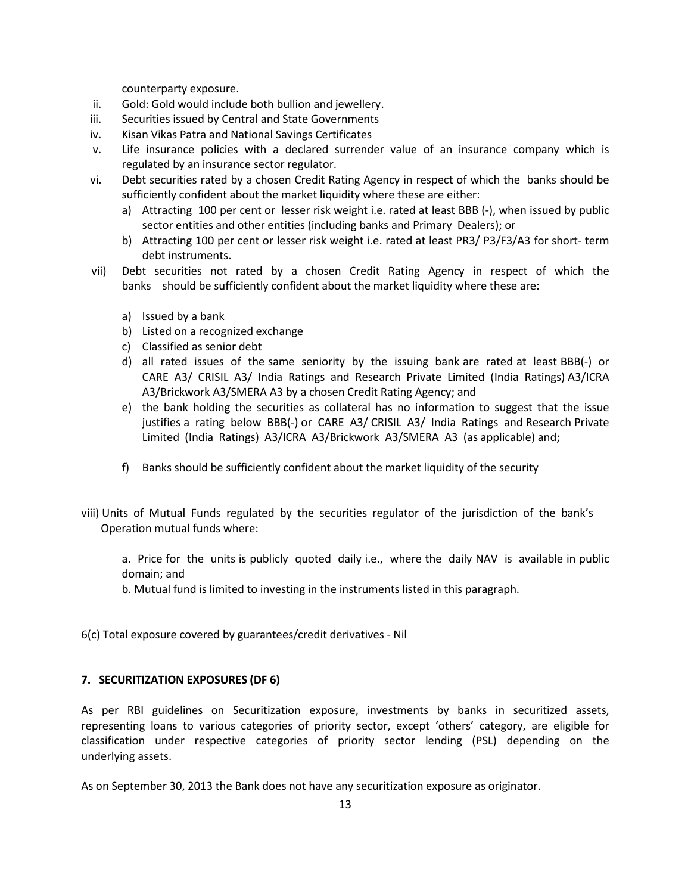counterparty exposure.

- ii. Gold: Gold would include both bullion and jewellery.
- iii. Securities issued by Central and State Governments
- iv. Kisan Vikas Patra and National Savings Certificates
- v. Life insurance policies with a declared surrender value of an insurance company which is regulated by an insurance sector regulator.
- vi. Debt securities rated by a chosen Credit Rating Agency in respect of which the banks should be sufficiently confident about the market liquidity where these are either:
	- a) Attracting 100 per cent or lesser risk weight i.e. rated at least BBB (-), when issued by public sector entities and other entities (including banks and Primary Dealers); or
	- b) Attracting 100 per cent or lesser risk weight i.e. rated at least PR3/ P3/F3/A3 for short- term debt instruments.
- vii) Debt securities not rated by a chosen Credit Rating Agency in respect of which the banks should be sufficiently confident about the market liquidity where these are:
	- a) Issued by a bank
	- b) Listed on a recognized exchange
	- c) Classified as senior debt
	- d) all rated issues of the same seniority by the issuing bank are rated at least BBB(-) or CARE A3/ CRISIL A3/ India Ratings and Research Private Limited (India Ratings) A3/ICRA A3/Brickwork A3/SMERA A3 by a chosen Credit Rating Agency; and
	- e) the bank holding the securities as collateral has no information to suggest that the issue justifies a rating below BBB(-) or CARE A3/ CRISIL A3/ India Ratings and Research Private Limited (India Ratings) A3/ICRA A3/Brickwork A3/SMERA A3 (as applicable) and;
	- f) Banks should be sufficiently confident about the market liquidity of the security
- viii) Units of Mutual Funds regulated by the securities regulator of the jurisdiction of the bank's Operation mutual funds where:

a. Price for the units is publicly quoted daily i.e., where the daily NAV is available in public domain; and

b. Mutual fund is limited to investing in the instruments listed in this paragraph.

6(c) Total exposure covered by guarantees/credit derivatives - Nil

# 7. SECURITIZATION EXPOSURES (DF 6)

As per RBI guidelines on Securitization exposure, investments by banks in securitized assets, representing loans to various categories of priority sector, except 'others' category, are eligible for classification under respective categories of priority sector lending (PSL) depending on the underlying assets.

As on September 30, 2013 the Bank does not have any securitization exposure as originator.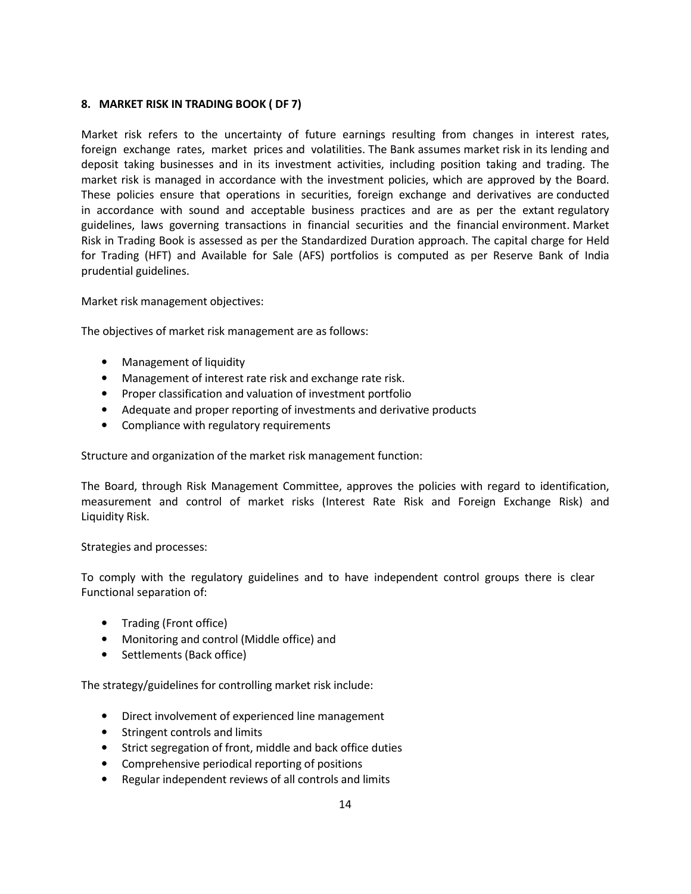### 8. MARKET RISK IN TRADING BOOK ( DF 7)

Market risk refers to the uncertainty of future earnings resulting from changes in interest rates, foreign exchange rates, market prices and volatilities. The Bank assumes market risk in its lending and deposit taking businesses and in its investment activities, including position taking and trading. The market risk is managed in accordance with the investment policies, which are approved by the Board. These policies ensure that operations in securities, foreign exchange and derivatives are conducted in accordance with sound and acceptable business practices and are as per the extant regulatory guidelines, laws governing transactions in financial securities and the financial environment. Market Risk in Trading Book is assessed as per the Standardized Duration approach. The capital charge for Held for Trading (HFT) and Available for Sale (AFS) portfolios is computed as per Reserve Bank of India prudential guidelines.

Market risk management objectives:

The objectives of market risk management are as follows:

- Management of liquidity
- Management of interest rate risk and exchange rate risk.
- Proper classification and valuation of investment portfolio
- Adequate and proper reporting of investments and derivative products
- Compliance with regulatory requirements

Structure and organization of the market risk management function:

The Board, through Risk Management Committee, approves the policies with regard to identification, measurement and control of market risks (Interest Rate Risk and Foreign Exchange Risk) and Liquidity Risk.

#### Strategies and processes:

To comply with the regulatory guidelines and to have independent control groups there is clear Functional separation of:

- Trading (Front office)
- Monitoring and control (Middle office) and
- Settlements (Back office)

The strategy/guidelines for controlling market risk include:

- Direct involvement of experienced line management
- Stringent controls and limits
- Strict segregation of front, middle and back office duties
- Comprehensive periodical reporting of positions
- Regular independent reviews of all controls and limits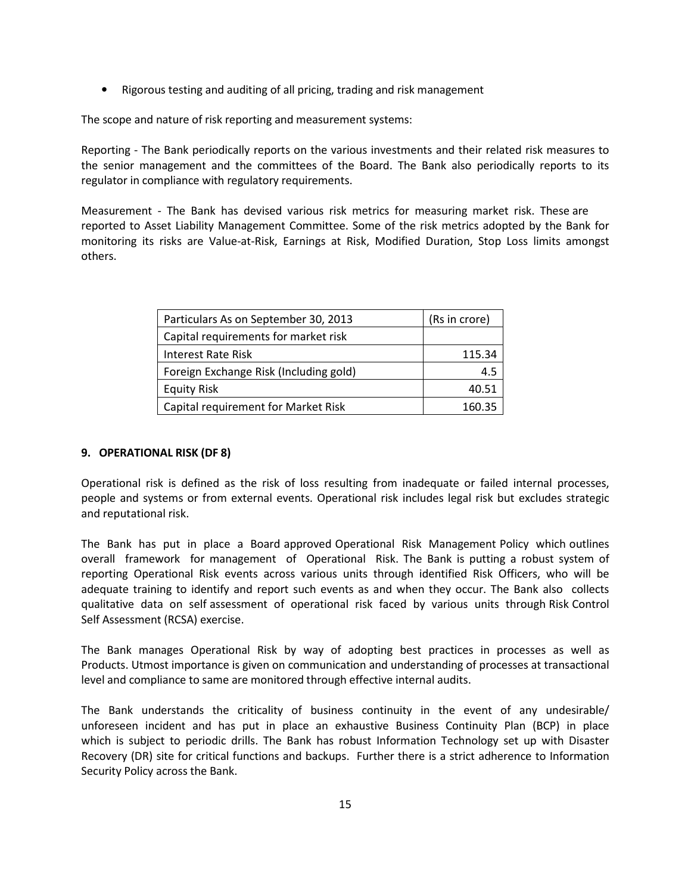• Rigorous testing and auditing of all pricing, trading and risk management

The scope and nature of risk reporting and measurement systems:

Reporting - The Bank periodically reports on the various investments and their related risk measures to the senior management and the committees of the Board. The Bank also periodically reports to its regulator in compliance with regulatory requirements.

Measurement - The Bank has devised various risk metrics for measuring market risk. These are reported to Asset Liability Management Committee. Some of the risk metrics adopted by the Bank for monitoring its risks are Value-at-Risk, Earnings at Risk, Modified Duration, Stop Loss limits amongst others.

| Particulars As on September 30, 2013   | (Rs in crore) |
|----------------------------------------|---------------|
| Capital requirements for market risk   |               |
| <b>Interest Rate Risk</b>              | 115.34        |
| Foreign Exchange Risk (Including gold) | 4.5           |
| <b>Equity Risk</b>                     | 40.51         |
| Capital requirement for Market Risk    | 160.35        |

# 9. OPERATIONAL RISK (DF 8)

Operational risk is defined as the risk of loss resulting from inadequate or failed internal processes, people and systems or from external events. Operational risk includes legal risk but excludes strategic and reputational risk.

The Bank has put in place a Board approved Operational Risk Management Policy which outlines overall framework for management of Operational Risk. The Bank is putting a robust system of reporting Operational Risk events across various units through identified Risk Officers, who will be adequate training to identify and report such events as and when they occur. The Bank also collects qualitative data on self assessment of operational risk faced by various units through Risk Control Self Assessment (RCSA) exercise.

The Bank manages Operational Risk by way of adopting best practices in processes as well as Products. Utmost importance is given on communication and understanding of processes at transactional level and compliance to same are monitored through effective internal audits.

The Bank understands the criticality of business continuity in the event of any undesirable/ unforeseen incident and has put in place an exhaustive Business Continuity Plan (BCP) in place which is subject to periodic drills. The Bank has robust Information Technology set up with Disaster Recovery (DR) site for critical functions and backups. Further there is a strict adherence to Information Security Policy across the Bank.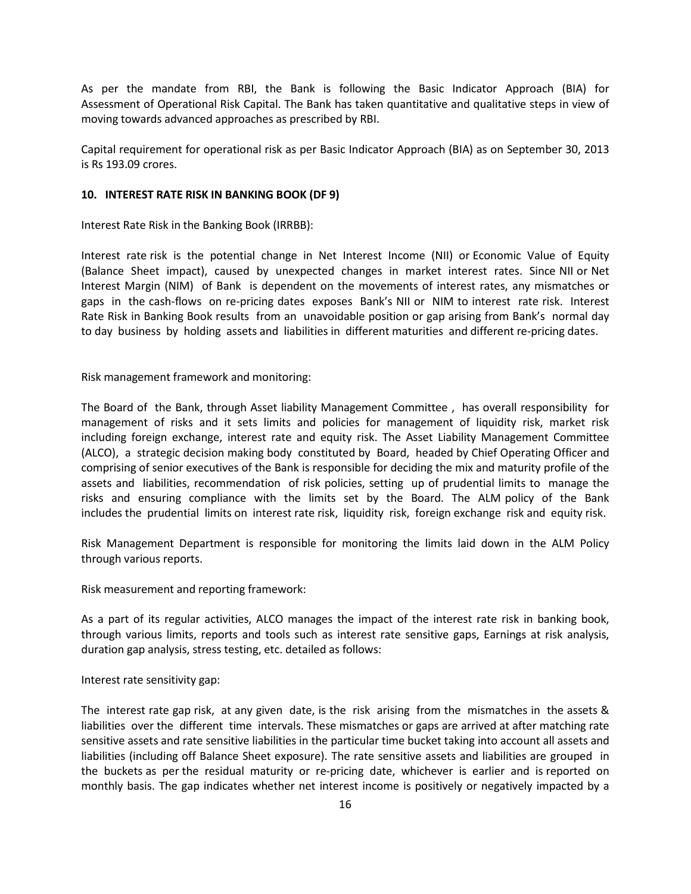As per the mandate from RBI, the Bank is following the Basic Indicator Approach (BIA) for Assessment of Operational Risk Capital. The Bank has taken quantitative and qualitative steps in view of moving towards advanced approaches as prescribed by RBI.

Capital requirement for operational risk as per Basic Indicator Approach (BIA) as on September 30, 2013 is Rs 193.09 crores.

#### 10. INTEREST RATE RISK IN BANKING BOOK (DF 9)

Interest Rate Risk in the Banking Book (IRRBB):

Interest rate risk is the potential change in Net Interest Income (NII) or Economic Value of Equity (Balance Sheet impact), caused by unexpected changes in market interest rates. Since NII or Net Interest Margin (NIM) of Bank is dependent on the movements of interest rates, any mismatches or gaps in the cash-flows on re-pricing dates exposes Bank's NII or NIM to interest rate risk. Interest Rate Risk in Banking Book results from an unavoidable position or gap arising from Bank's normal day to day business by holding assets and liabilities in different maturities and different re-pricing dates.

Risk management framework and monitoring:

The Board of the Bank, through Asset liability Management Committee , has overall responsibility for management of risks and it sets limits and policies for management of liquidity risk, market risk including foreign exchange, interest rate and equity risk. The Asset Liability Management Committee (ALCO), a strategic decision making body constituted by Board, headed by Chief Operating Officer and comprising of senior executives of the Bank is responsible for deciding the mix and maturity profile of the assets and liabilities, recommendation of risk policies, setting up of prudential limits to manage the risks and ensuring compliance with the limits set by the Board. The ALM policy of the Bank includes the prudential limits on interest rate risk, liquidity risk, foreign exchange risk and equity risk.

Risk Management Department is responsible for monitoring the limits laid down in the ALM Policy through various reports.

Risk measurement and reporting framework:

As a part of its regular activities, ALCO manages the impact of the interest rate risk in banking book, through various limits, reports and tools such as interest rate sensitive gaps, Earnings at risk analysis, duration gap analysis, stress testing, etc. detailed as follows:

Interest rate sensitivity gap:

The interest rate gap risk, at any given date, is the risk arising from the mismatches in the assets & liabilities over the different time intervals. These mismatches or gaps are arrived at after matching rate sensitive assets and rate sensitive liabilities in the particular time bucket taking into account all assets and liabilities (including off Balance Sheet exposure). The rate sensitive assets and liabilities are grouped in the buckets as per the residual maturity or re-pricing date, whichever is earlier and is reported on monthly basis. The gap indicates whether net interest income is positively or negatively impacted by a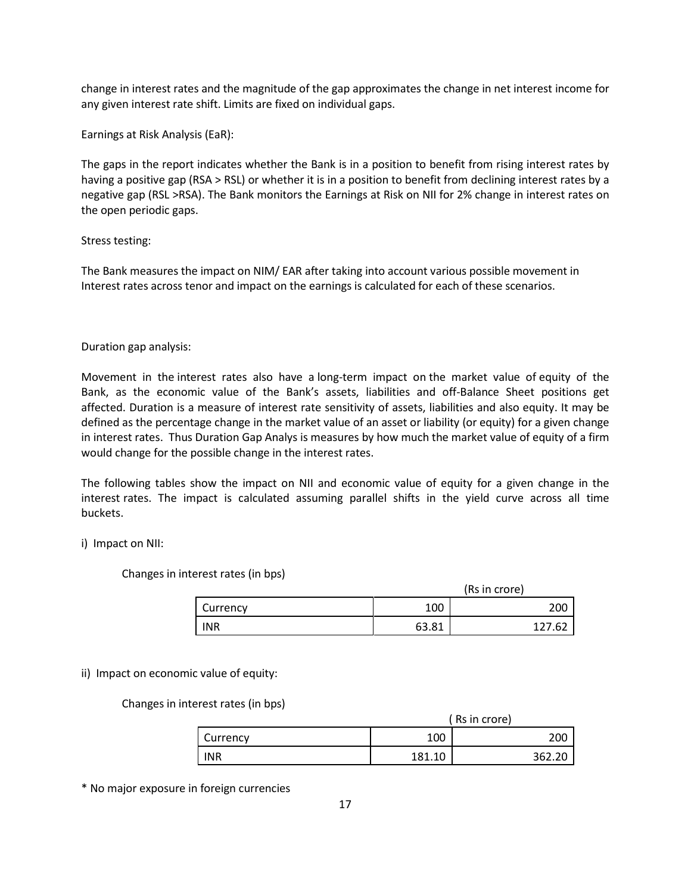change in interest rates and the magnitude of the gap approximates the change in net interest income for any given interest rate shift. Limits are fixed on individual gaps.

Earnings at Risk Analysis (EaR):

The gaps in the report indicates whether the Bank is in a position to benefit from rising interest rates by having a positive gap (RSA > RSL) or whether it is in a position to benefit from declining interest rates by a negative gap (RSL >RSA). The Bank monitors the Earnings at Risk on NII for 2% change in interest rates on the open periodic gaps.

### Stress testing:

The Bank measures the impact on NIM/ EAR after taking into account various possible movement in Interest rates across tenor and impact on the earnings is calculated for each of these scenarios.

### Duration gap analysis:

Movement in the interest rates also have a long-term impact on the market value of equity of the Bank, as the economic value of the Bank's assets, liabilities and off-Balance Sheet positions get affected. Duration is a measure of interest rate sensitivity of assets, liabilities and also equity. It may be defined as the percentage change in the market value of an asset or liability (or equity) for a given change in interest rates. Thus Duration Gap Analys is measures by how much the market value of equity of a firm would change for the possible change in the interest rates.

The following tables show the impact on NII and economic value of equity for a given change in the interest rates. The impact is calculated assuming parallel shifts in the yield curve across all time buckets.

# i) Impact on NII:

Changes in interest rates (in bps)

| (Rs in crore) |       |       |
|---------------|-------|-------|
| Currency      | 100   | 200   |
| <b>INR</b>    | 63.81 | 27.62 |

# ii) Impact on economic value of equity:

Changes in interest rates (in bps)

|            | ' Rs in crore) |        |  |
|------------|----------------|--------|--|
| Currency   | 100            | 200    |  |
| <b>INR</b> | 181.10         | 362.20 |  |

\* No major exposure in foreign currencies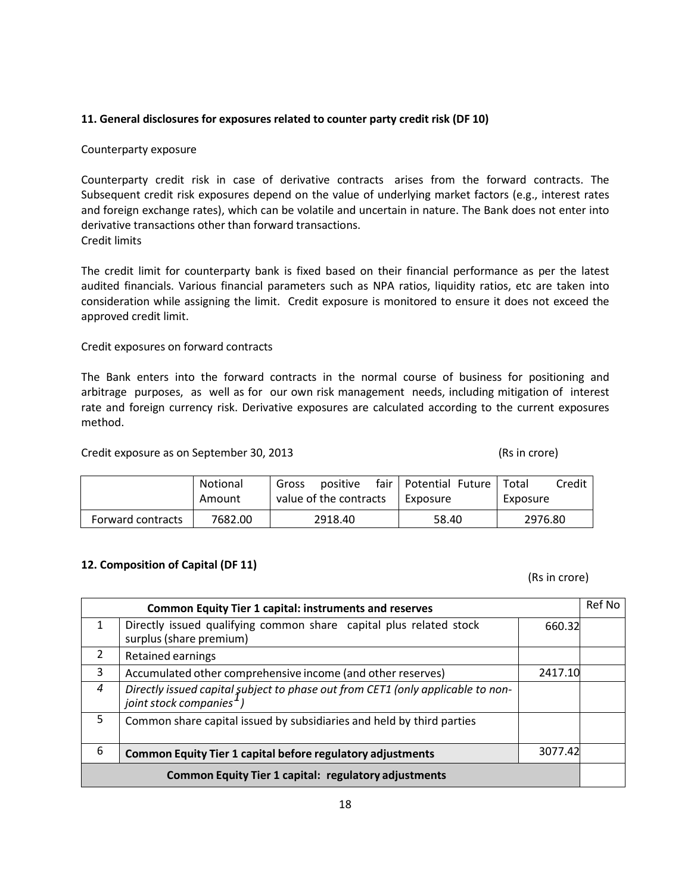#### 11. General disclosures for exposures related to counter party credit risk (DF 10)

#### Counterparty exposure

Counterparty credit risk in case of derivative contracts arises from the forward contracts. The Subsequent credit risk exposures depend on the value of underlying market factors (e.g., interest rates and foreign exchange rates), which can be volatile and uncertain in nature. The Bank does not enter into derivative transactions other than forward transactions. Credit limits

The credit limit for counterparty bank is fixed based on their financial performance as per the latest audited financials. Various financial parameters such as NPA ratios, liquidity ratios, etc are taken into consideration while assigning the limit. Credit exposure is monitored to ensure it does not exceed the approved credit limit.

### Credit exposures on forward contracts

The Bank enters into the forward contracts in the normal course of business for positioning and arbitrage purposes, as well as for our own risk management needs, including mitigation of interest rate and foreign currency risk. Derivative exposures are calculated according to the current exposures method.

Credit exposure as on September 30, 2013 (Rs in crore)

|                   | <b>Notional</b> | positive<br>Gross      | fair   Potential Future | Credit<br>Total |
|-------------------|-----------------|------------------------|-------------------------|-----------------|
|                   | Amount          | value of the contracts | Exposure                | Exposure        |
| Forward contracts | 7682.00         | 2918.40                | 58.40                   | 2976.80         |

# 12. Composition of Capital (DF 11)

(Rs in crore)

| <b>Common Equity Tier 1 capital: instruments and reserves</b> |                                                                                                                         |         | <b>Ref No</b> |
|---------------------------------------------------------------|-------------------------------------------------------------------------------------------------------------------------|---------|---------------|
| 1                                                             | Directly issued qualifying common share capital plus related stock<br>surplus (share premium)                           | 660.32  |               |
| 2                                                             | Retained earnings                                                                                                       |         |               |
| 3                                                             | Accumulated other comprehensive income (and other reserves)                                                             | 2417.10 |               |
| $\boldsymbol{\varLambda}$                                     | Directly issued capital subject to phase out from CET1 (only applicable to non-<br>joint stock companies <sup>1</sup> ) |         |               |
| 5                                                             | Common share capital issued by subsidiaries and held by third parties                                                   |         |               |
| 6                                                             | <b>Common Equity Tier 1 capital before regulatory adjustments</b>                                                       | 3077.42 |               |
| <b>Common Equity Tier 1 capital: regulatory adjustments</b>   |                                                                                                                         |         |               |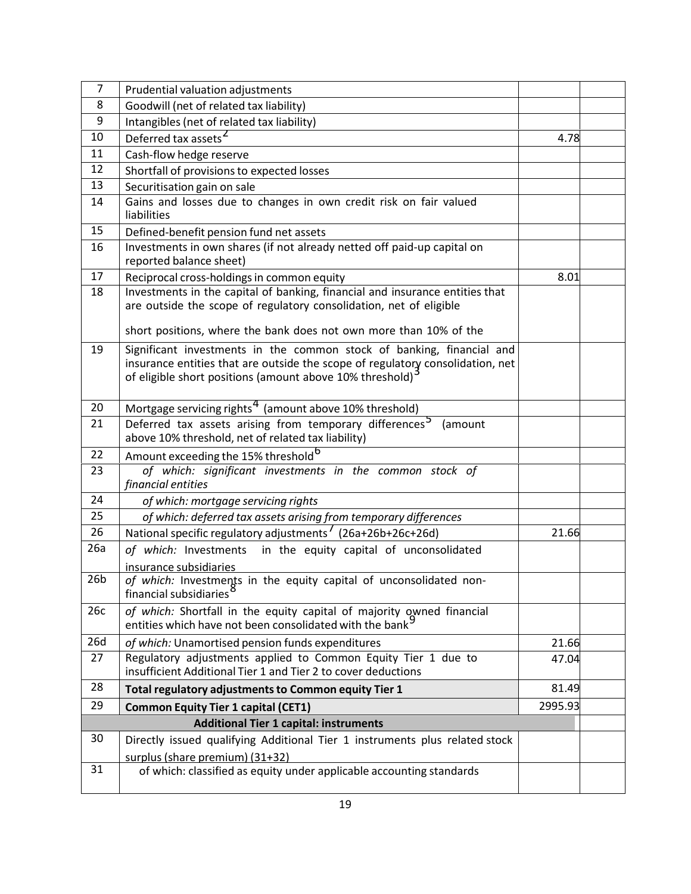| 7               | Prudential valuation adjustments                                                                                                                                                                                    |         |  |
|-----------------|---------------------------------------------------------------------------------------------------------------------------------------------------------------------------------------------------------------------|---------|--|
| 8               | Goodwill (net of related tax liability)                                                                                                                                                                             |         |  |
| 9               | Intangibles (net of related tax liability)                                                                                                                                                                          |         |  |
| 10              | Deferred tax assets <sup>2</sup>                                                                                                                                                                                    | 4.78    |  |
| 11              | Cash-flow hedge reserve                                                                                                                                                                                             |         |  |
| 12              | Shortfall of provisions to expected losses                                                                                                                                                                          |         |  |
| 13              | Securitisation gain on sale                                                                                                                                                                                         |         |  |
| 14              | Gains and losses due to changes in own credit risk on fair valued<br>liabilities                                                                                                                                    |         |  |
| 15              | Defined-benefit pension fund net assets                                                                                                                                                                             |         |  |
| 16              | Investments in own shares (if not already netted off paid-up capital on<br>reported balance sheet)                                                                                                                  |         |  |
| 17              | Reciprocal cross-holdings in common equity                                                                                                                                                                          | 8.01    |  |
| 18              | Investments in the capital of banking, financial and insurance entities that<br>are outside the scope of regulatory consolidation, net of eligible                                                                  |         |  |
|                 | short positions, where the bank does not own more than 10% of the                                                                                                                                                   |         |  |
| 19              | Significant investments in the common stock of banking, financial and<br>insurance entities that are outside the scope of regulatory consolidation, net<br>of eligible short positions (amount above 10% threshold) |         |  |
| 20              | Mortgage servicing rights <sup>4</sup> (amount above 10% threshold)                                                                                                                                                 |         |  |
| 21              | Deferred tax assets arising from temporary differences <sup>5</sup><br>(amount<br>above 10% threshold, net of related tax liability)                                                                                |         |  |
| 22              | Amount exceeding the 15% threshold <sup>6</sup>                                                                                                                                                                     |         |  |
| 23              | of which: significant investments in the common stock of<br>financial entities                                                                                                                                      |         |  |
| 24              | of which: mortgage servicing rights                                                                                                                                                                                 |         |  |
| 25              | of which: deferred tax assets arising from temporary differences                                                                                                                                                    |         |  |
| 26              | National specific regulatory adjustments <sup>1</sup> (26a+26b+26c+26d)                                                                                                                                             | 21.66   |  |
| 26a             | of which: Investments in the equity capital of unconsolidated<br>insurance subsidiaries                                                                                                                             |         |  |
| 26 <sub>b</sub> | of which: Investments in the equity capital of unconsolidated non-<br>financial subsidiaries <sup>8</sup>                                                                                                           |         |  |
| 26c             | of which: Shortfall in the equity capital of majority owned financial<br>entities which have not been consolidated with the bank <sup>5</sup>                                                                       |         |  |
| 26d             | of which: Unamortised pension funds expenditures                                                                                                                                                                    | 21.66   |  |
| 27              | Regulatory adjustments applied to Common Equity Tier 1 due to<br>insufficient Additional Tier 1 and Tier 2 to cover deductions                                                                                      | 47.04   |  |
| 28              | Total regulatory adjustments to Common equity Tier 1                                                                                                                                                                | 81.49   |  |
| 29              | <b>Common Equity Tier 1 capital (CET1)</b>                                                                                                                                                                          | 2995.93 |  |
|                 | <b>Additional Tier 1 capital: instruments</b>                                                                                                                                                                       |         |  |
| 30              | Directly issued qualifying Additional Tier 1 instruments plus related stock<br>surplus (share premium) (31+32)                                                                                                      |         |  |
| 31              | of which: classified as equity under applicable accounting standards                                                                                                                                                |         |  |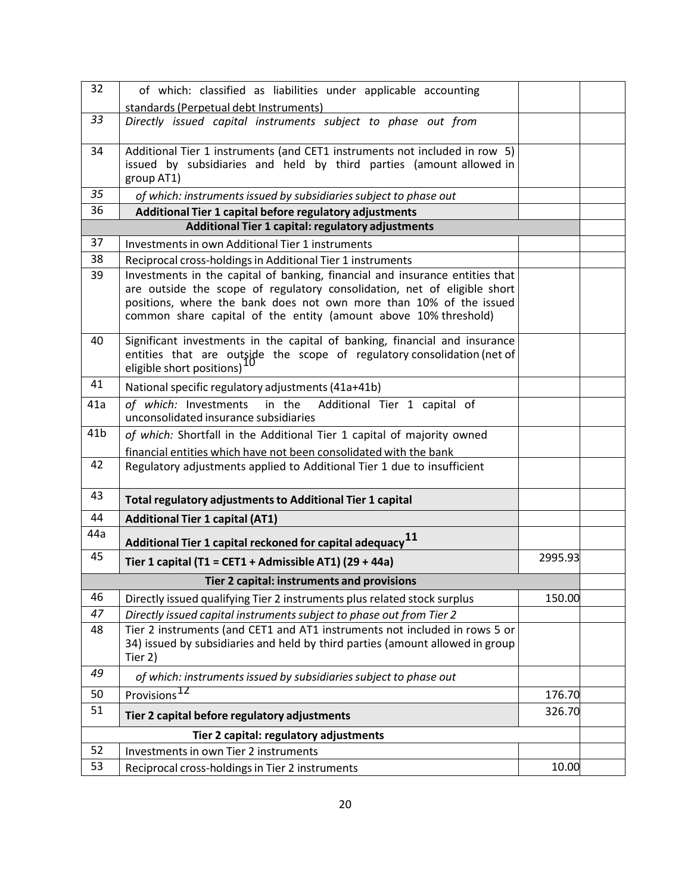| 32              | of which: classified as liabilities under applicable accounting                                                                                       |         |  |
|-----------------|-------------------------------------------------------------------------------------------------------------------------------------------------------|---------|--|
|                 | standards (Perpetual debt Instruments)                                                                                                                |         |  |
| 33              | Directly issued capital instruments subject to phase out from                                                                                         |         |  |
| 34              | Additional Tier 1 instruments (and CET1 instruments not included in row 5)                                                                            |         |  |
|                 | issued by subsidiaries and held by third parties (amount allowed in<br>group AT1)                                                                     |         |  |
| 35              | of which: instruments issued by subsidiaries subject to phase out                                                                                     |         |  |
| 36              | Additional Tier 1 capital before regulatory adjustments                                                                                               |         |  |
|                 | Additional Tier 1 capital: regulatory adjustments                                                                                                     |         |  |
| 37              | Investments in own Additional Tier 1 instruments                                                                                                      |         |  |
| 38              | Reciprocal cross-holdings in Additional Tier 1 instruments                                                                                            |         |  |
| 39              | Investments in the capital of banking, financial and insurance entities that                                                                          |         |  |
|                 | are outside the scope of regulatory consolidation, net of eligible short<br>positions, where the bank does not own more than 10% of the issued        |         |  |
|                 | common share capital of the entity (amount above 10% threshold)                                                                                       |         |  |
|                 |                                                                                                                                                       |         |  |
| 40              | Significant investments in the capital of banking, financial and insurance<br>entities that are outside the scope of regulatory consolidation (net of |         |  |
|                 | eligible short positions)                                                                                                                             |         |  |
| 41              | National specific regulatory adjustments (41a+41b)                                                                                                    |         |  |
| 41a             | of which: Investments in the Additional Tier 1 capital of                                                                                             |         |  |
|                 | unconsolidated insurance subsidiaries                                                                                                                 |         |  |
| 41 <sub>b</sub> | of which: Shortfall in the Additional Tier 1 capital of majority owned                                                                                |         |  |
|                 | financial entities which have not been consolidated with the bank                                                                                     |         |  |
| 42              | Regulatory adjustments applied to Additional Tier 1 due to insufficient                                                                               |         |  |
| 43              | Total regulatory adjustments to Additional Tier 1 capital                                                                                             |         |  |
| 44              | <b>Additional Tier 1 capital (AT1)</b>                                                                                                                |         |  |
| 44a             | Additional Tier 1 capital reckoned for capital adequacy $^{11}$                                                                                       |         |  |
| 45              | Tier 1 capital (T1 = CET1 + Admissible AT1) (29 + 44a)                                                                                                | 2995.93 |  |
|                 | Tier 2 capital: instruments and provisions                                                                                                            |         |  |
| 46              | Directly issued qualifying Tier 2 instruments plus related stock surplus                                                                              | 150.00  |  |
| 47              | Directly issued capital instruments subject to phase out from Tier 2                                                                                  |         |  |
| 48              | Tier 2 instruments (and CET1 and AT1 instruments not included in rows 5 or                                                                            |         |  |
|                 | 34) issued by subsidiaries and held by third parties (amount allowed in group                                                                         |         |  |
| 49              | Tier 2)                                                                                                                                               |         |  |
|                 | of which: instruments issued by subsidiaries subject to phase out                                                                                     |         |  |
| 50              | Provisions                                                                                                                                            | 176.70  |  |
| 51              | Tier 2 capital before regulatory adjustments                                                                                                          | 326.70  |  |
|                 | Tier 2 capital: regulatory adjustments                                                                                                                |         |  |
| 52              | Investments in own Tier 2 instruments                                                                                                                 |         |  |
| 53              | Reciprocal cross-holdings in Tier 2 instruments                                                                                                       | 10.00   |  |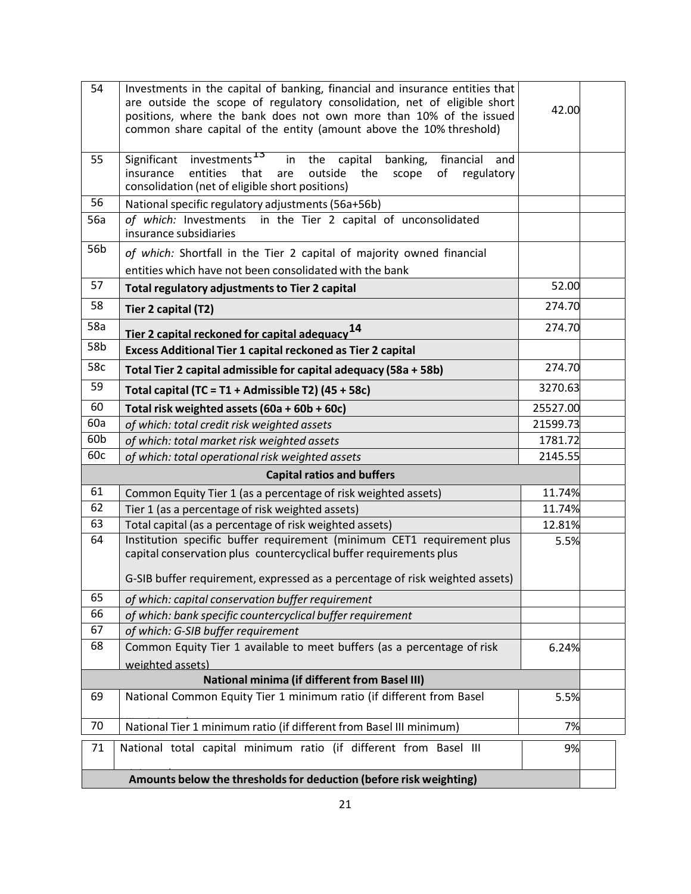| 54  | Investments in the capital of banking, financial and insurance entities that<br>are outside the scope of regulatory consolidation, net of eligible short<br>positions, where the bank does not own more than 10% of the issued<br>common share capital of the entity (amount above the 10% threshold) |                      |         |
|-----|-------------------------------------------------------------------------------------------------------------------------------------------------------------------------------------------------------------------------------------------------------------------------------------------------------|----------------------|---------|
| 55  | investments <sup>15</sup><br>Significant<br>in the capital<br>banking,<br>financial<br>and<br>regulatory<br>insurance<br>entities<br>that<br>outside<br>the<br>of<br>are<br>scope<br>consolidation (net of eligible short positions)                                                                  |                      |         |
| 56  | National specific regulatory adjustments (56a+56b)                                                                                                                                                                                                                                                    |                      |         |
| 56a | of which: Investments in the Tier 2 capital of unconsolidated<br>insurance subsidiaries                                                                                                                                                                                                               |                      |         |
| 56b | of which: Shortfall in the Tier 2 capital of majority owned financial                                                                                                                                                                                                                                 |                      |         |
|     | entities which have not been consolidated with the bank                                                                                                                                                                                                                                               |                      |         |
| 57  | Total regulatory adjustments to Tier 2 capital                                                                                                                                                                                                                                                        | 52.00                |         |
| 58  | Tier 2 capital (T2)                                                                                                                                                                                                                                                                                   | 274.70               |         |
| 58a | Tier 2 capital reckoned for capital adequacy <sup>14</sup>                                                                                                                                                                                                                                            | 274.70               |         |
| 58b | Excess Additional Tier 1 capital reckoned as Tier 2 capital                                                                                                                                                                                                                                           |                      |         |
| 58c | Total Tier 2 capital admissible for capital adequacy (58a + 58b)                                                                                                                                                                                                                                      | 274.70               |         |
| 59  | Total capital (TC = T1 + Admissible T2) (45 + 58c)                                                                                                                                                                                                                                                    | 3270.63              |         |
| 60  | Total risk weighted assets (60a + 60b + 60c)                                                                                                                                                                                                                                                          |                      |         |
| 60a | of which: total credit risk weighted assets                                                                                                                                                                                                                                                           | 25527.00<br>21599.73 |         |
| 60b | of which: total market risk weighted assets                                                                                                                                                                                                                                                           |                      | 1781.72 |
| 60c | of which: total operational risk weighted assets                                                                                                                                                                                                                                                      |                      |         |
|     | <b>Capital ratios and buffers</b>                                                                                                                                                                                                                                                                     | 2145.55              |         |
| 61  | Common Equity Tier 1 (as a percentage of risk weighted assets)                                                                                                                                                                                                                                        | 11.74%               |         |
| 62  | Tier 1 (as a percentage of risk weighted assets)                                                                                                                                                                                                                                                      | 11.74%               |         |
| 63  | Total capital (as a percentage of risk weighted assets)                                                                                                                                                                                                                                               | 12.81%               |         |
| 64  | Institution specific buffer requirement (minimum CET1 requirement plus<br>capital conservation plus countercyclical buffer requirements plus                                                                                                                                                          | 5.5%                 |         |
|     | G-SIB buffer requirement, expressed as a percentage of risk weighted assets)                                                                                                                                                                                                                          |                      |         |
| 65  | of which: capital conservation buffer requirement                                                                                                                                                                                                                                                     |                      |         |
| 66  | of which: bank specific countercyclical buffer requirement                                                                                                                                                                                                                                            |                      |         |
| 67  | of which: G-SIB buffer requirement                                                                                                                                                                                                                                                                    |                      |         |
| 68  | Common Equity Tier 1 available to meet buffers (as a percentage of risk                                                                                                                                                                                                                               |                      | 6.24%   |
|     | weighted assets)                                                                                                                                                                                                                                                                                      |                      |         |
|     | <b>National minima (if different from Basel III)</b>                                                                                                                                                                                                                                                  |                      |         |
| 69  | National Common Equity Tier 1 minimum ratio (if different from Basel                                                                                                                                                                                                                                  | 5.5%                 |         |
| 70  | National Tier 1 minimum ratio (if different from Basel III minimum)                                                                                                                                                                                                                                   | 7%                   |         |
| 71  | National total capital minimum ratio (if different from Basel III                                                                                                                                                                                                                                     | 9%                   |         |
|     | Amounts below the thresholds for deduction (before risk weighting)                                                                                                                                                                                                                                    |                      |         |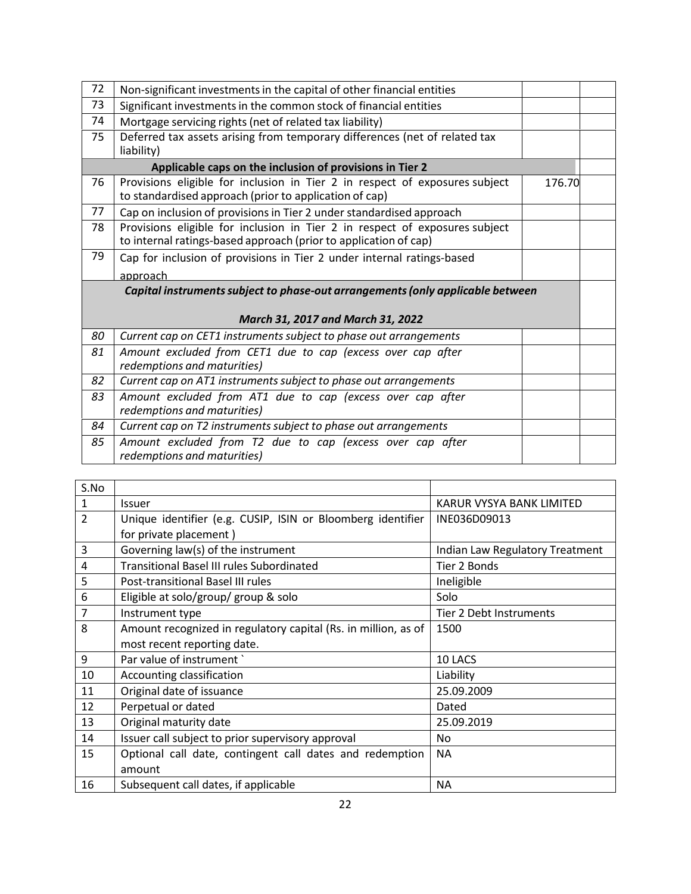| 72 | Non-significant investments in the capital of other financial entities                                                                          |        |  |
|----|-------------------------------------------------------------------------------------------------------------------------------------------------|--------|--|
| 73 | Significant investments in the common stock of financial entities                                                                               |        |  |
| 74 | Mortgage servicing rights (net of related tax liability)                                                                                        |        |  |
| 75 | Deferred tax assets arising from temporary differences (net of related tax<br>liability)                                                        |        |  |
|    | Applicable caps on the inclusion of provisions in Tier 2                                                                                        |        |  |
| 76 | Provisions eligible for inclusion in Tier 2 in respect of exposures subject<br>to standardised approach (prior to application of cap)           | 176.70 |  |
| 77 | Cap on inclusion of provisions in Tier 2 under standardised approach                                                                            |        |  |
| 78 | Provisions eligible for inclusion in Tier 2 in respect of exposures subject<br>to internal ratings-based approach (prior to application of cap) |        |  |
| 79 | Cap for inclusion of provisions in Tier 2 under internal ratings-based                                                                          |        |  |
|    | approach                                                                                                                                        |        |  |
|    | Capital instruments subject to phase-out arrangements (only applicable between                                                                  |        |  |
|    |                                                                                                                                                 |        |  |
|    | March 31, 2017 and March 31, 2022                                                                                                               |        |  |
| 80 | Current cap on CET1 instruments subject to phase out arrangements                                                                               |        |  |
| 81 | Amount excluded from CET1 due to cap (excess over cap after<br>redemptions and maturities)                                                      |        |  |
| 82 | Current cap on AT1 instruments subject to phase out arrangements                                                                                |        |  |
| 83 | Amount excluded from AT1 due to cap (excess over cap after<br>redemptions and maturities)                                                       |        |  |
| 84 | Current cap on T2 instruments subject to phase out arrangements                                                                                 |        |  |
| 85 | Amount excluded from T2 due to cap (excess over cap after<br>redemptions and maturities)                                                        |        |  |

| S.No           |                                                                |                                        |
|----------------|----------------------------------------------------------------|----------------------------------------|
| $\mathbf{1}$   | <b>Issuer</b>                                                  | KARUR VYSYA BANK LIMITED               |
| $\overline{2}$ | Unique identifier (e.g. CUSIP, ISIN or Bloomberg identifier    | INE036D09013                           |
|                | for private placement)                                         |                                        |
| 3              | Governing law(s) of the instrument                             | <b>Indian Law Regulatory Treatment</b> |
| 4              | <b>Transitional Basel III rules Subordinated</b>               | Tier 2 Bonds                           |
| 5              | Post-transitional Basel III rules                              | Ineligible                             |
| 6              | Eligible at solo/group/ group & solo                           | Solo                                   |
| $\overline{7}$ | Instrument type                                                | Tier 2 Debt Instruments                |
| 8              | Amount recognized in regulatory capital (Rs. in million, as of | 1500                                   |
|                | most recent reporting date.                                    |                                        |
| 9              | Par value of instrument `                                      | 10 LACS                                |
| 10             | Accounting classification                                      | Liability                              |
| 11             | Original date of issuance                                      | 25.09.2009                             |
| 12             | Perpetual or dated                                             | Dated                                  |
| 13             | Original maturity date                                         | 25.09.2019                             |
| 14             | Issuer call subject to prior supervisory approval              | No.                                    |
| 15             | Optional call date, contingent call dates and redemption       | NA.                                    |
|                | amount                                                         |                                        |
| 16             | Subsequent call dates, if applicable                           | NA.                                    |